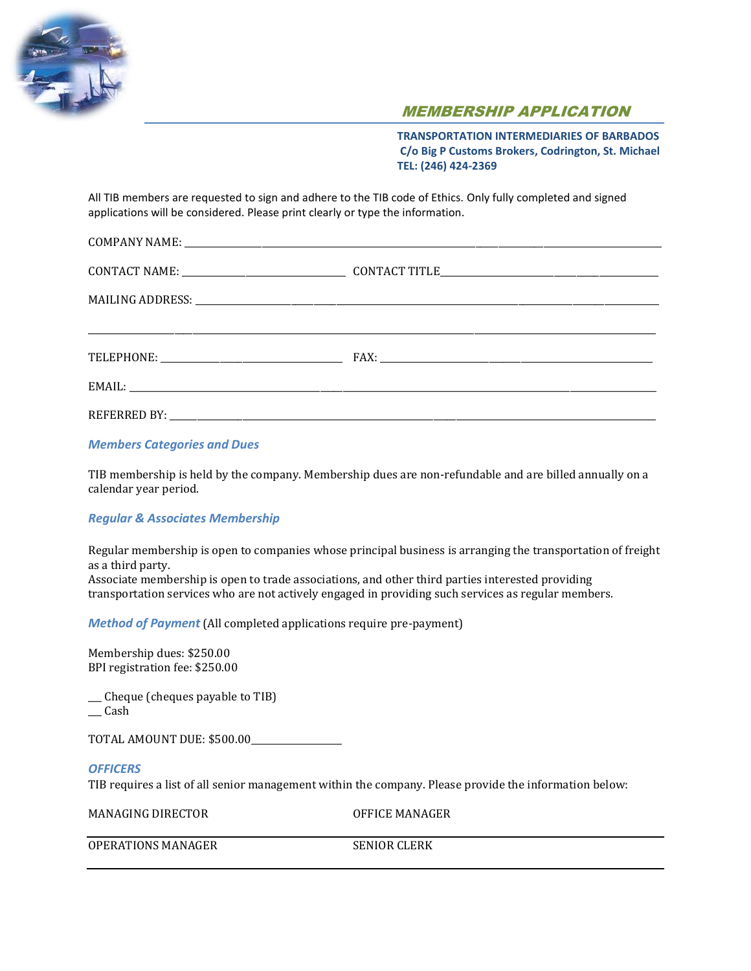

# MEMBERSHIP APPLICATION

**TRANSPORTATION INTERMEDIARIES OF BARBADOS C/o Big P Customs Brokers, Codrington, St. Michael TEL: (246) 424-2369**

All TIB members are requested to sign and adhere to the TIB code of Ethics. Only fully completed and signed applications will be considered. Please print clearly or type the information.

*Members Categories and Dues*

TIB membership is held by the company. Membership dues are non-refundable and are billed annually on a calendar year period.

## *Regular & Associates Membership*

Regular membership is open to companies whose principal business is arranging the transportation of freight as a third party.

Associate membership is open to trade associations, and other third parties interested providing transportation services who are not actively engaged in providing such services as regular members.

*Method of Payment* (All completed applications require pre-payment)

Membership dues: \$250.00 BPI registration fee: \$250.00

\_\_\_ Cheque (cheques payable to TIB)  $\_\_$  Cash

TOTAL AMOUNT DUE: \$500.00\_\_\_\_\_\_\_\_\_\_\_\_\_\_\_\_\_\_\_\_

#### *OFFICERS*

TIB requires a list of all senior management within the company. Please provide the information below:

MANAGING DIRECTOR OFFICE MANAGER

OPERATIONS MANAGER SENIOR CLERK